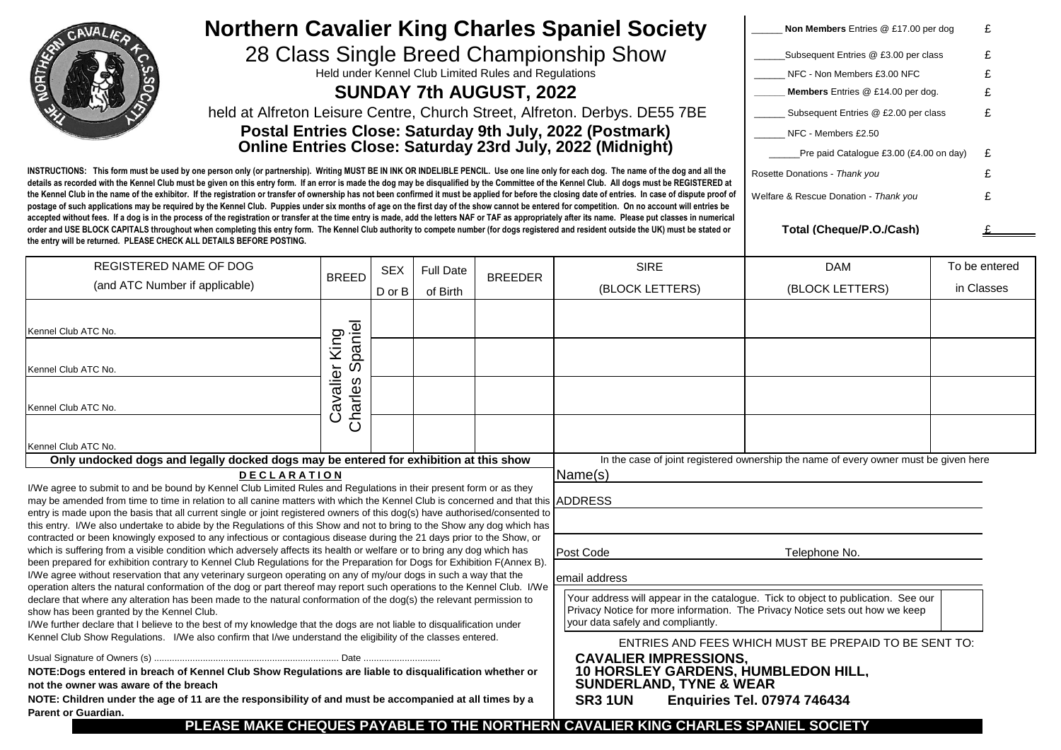|                                                                                                                                                                                                                                                                                                                                                                                                                                                                                                                                                                                                                                                                                                                                                                                                                                                                                                                                                                                                                   |                                                     |            |                  |                | <b>Northern Cavalier King Charles Spaniel Society</b>                                                                                                                                                  | Non Members Entries @ £17.00 per dog                                                 | £             |
|-------------------------------------------------------------------------------------------------------------------------------------------------------------------------------------------------------------------------------------------------------------------------------------------------------------------------------------------------------------------------------------------------------------------------------------------------------------------------------------------------------------------------------------------------------------------------------------------------------------------------------------------------------------------------------------------------------------------------------------------------------------------------------------------------------------------------------------------------------------------------------------------------------------------------------------------------------------------------------------------------------------------|-----------------------------------------------------|------------|------------------|----------------|--------------------------------------------------------------------------------------------------------------------------------------------------------------------------------------------------------|--------------------------------------------------------------------------------------|---------------|
| 28 Class Single Breed Championship Show<br>Held under Kennel Club Limited Rules and Regulations<br><b>SUNDAY 7th AUGUST, 2022</b><br>held at Alfreton Leisure Centre, Church Street, Alfreton. Derbys. DE55 7BE<br>Postal Entries Close: Saturday 9th July, 2022 (Postmark)<br><b>Online Entries Close: Saturday 23rd July, 2022 (Midnight)</b>                                                                                                                                                                                                                                                                                                                                                                                                                                                                                                                                                                                                                                                                   |                                                     |            |                  |                |                                                                                                                                                                                                        | Subsequent Entries @ £3.00 per class                                                 |               |
|                                                                                                                                                                                                                                                                                                                                                                                                                                                                                                                                                                                                                                                                                                                                                                                                                                                                                                                                                                                                                   |                                                     |            |                  |                |                                                                                                                                                                                                        | NFC - Non Members £3.00 NFC                                                          |               |
|                                                                                                                                                                                                                                                                                                                                                                                                                                                                                                                                                                                                                                                                                                                                                                                                                                                                                                                                                                                                                   |                                                     |            |                  |                |                                                                                                                                                                                                        | Members Entries @ £14.00 per dog.                                                    |               |
|                                                                                                                                                                                                                                                                                                                                                                                                                                                                                                                                                                                                                                                                                                                                                                                                                                                                                                                                                                                                                   |                                                     |            |                  |                |                                                                                                                                                                                                        | £<br>Subsequent Entries @ £2.00 per class                                            |               |
|                                                                                                                                                                                                                                                                                                                                                                                                                                                                                                                                                                                                                                                                                                                                                                                                                                                                                                                                                                                                                   |                                                     |            |                  |                |                                                                                                                                                                                                        | NFC - Members £2.50                                                                  |               |
|                                                                                                                                                                                                                                                                                                                                                                                                                                                                                                                                                                                                                                                                                                                                                                                                                                                                                                                                                                                                                   |                                                     |            |                  |                |                                                                                                                                                                                                        | Pre paid Catalogue £3.00 (£4.00 on day)<br>£                                         |               |
| INSTRUCTIONS: This form must be used by one person only (or partnership). Writing MUST BE IN INK OR INDELIBLE PENCIL. Use one line only for each dog. The name of the dog and all the<br>details as recorded with the Kennel Club must be given on this entry form. If an error is made the dog may be disqualified by the Committee of the Kennel Club. All dogs must be REGISTERED at<br>the Kennel Club in the name of the exhibitor. If the registration or transfer of ownership has not been confirmed it must be applied for before the closing date of entries. In case of dispute proof of<br>postage of such applications may be required by the Kennel Club. Puppies under six months of age on the first day of the show cannot be entered for competition. On no account will entries be<br>accepted without fees. If a dog is in the process of the registration or transfer at the time entry is made, add the letters NAF or TAF as appropriately after its name. Please put classes in numerical |                                                     |            |                  |                |                                                                                                                                                                                                        | Rosette Donations - Thank you                                                        | £             |
|                                                                                                                                                                                                                                                                                                                                                                                                                                                                                                                                                                                                                                                                                                                                                                                                                                                                                                                                                                                                                   |                                                     |            |                  |                |                                                                                                                                                                                                        | Welfare & Rescue Donation - Thank you                                                |               |
| order and USE BLOCK CAPITALS throughout when completing this entry form. The Kennel Club authority to compete number (for dogs registered and resident outside the UK) must be stated or<br>the entry will be returned. PLEASE CHECK ALL DETAILS BEFORE POSTING.                                                                                                                                                                                                                                                                                                                                                                                                                                                                                                                                                                                                                                                                                                                                                  |                                                     |            |                  |                |                                                                                                                                                                                                        | Total (Cheque/P.O./Cash)                                                             |               |
| REGISTERED NAME OF DOG<br>(and ATC Number if applicable)                                                                                                                                                                                                                                                                                                                                                                                                                                                                                                                                                                                                                                                                                                                                                                                                                                                                                                                                                          | <b>BREED</b>                                        | <b>SEX</b> | <b>Full Date</b> | <b>BREEDER</b> | <b>SIRE</b>                                                                                                                                                                                            | <b>DAM</b>                                                                           | To be entered |
|                                                                                                                                                                                                                                                                                                                                                                                                                                                                                                                                                                                                                                                                                                                                                                                                                                                                                                                                                                                                                   |                                                     | D or B     | of Birth         |                | (BLOCK LETTERS)                                                                                                                                                                                        | (BLOCK LETTERS)                                                                      | in Classes    |
|                                                                                                                                                                                                                                                                                                                                                                                                                                                                                                                                                                                                                                                                                                                                                                                                                                                                                                                                                                                                                   |                                                     |            |                  |                |                                                                                                                                                                                                        |                                                                                      |               |
| Kennel Club ATC No.                                                                                                                                                                                                                                                                                                                                                                                                                                                                                                                                                                                                                                                                                                                                                                                                                                                                                                                                                                                               |                                                     |            |                  |                |                                                                                                                                                                                                        |                                                                                      |               |
| Kennel Club ATC No.                                                                                                                                                                                                                                                                                                                                                                                                                                                                                                                                                                                                                                                                                                                                                                                                                                                                                                                                                                                               | paniel<br>avalier King<br>$\overline{0}$<br>Charles |            |                  |                |                                                                                                                                                                                                        |                                                                                      |               |
| Kennel Club ATC No.                                                                                                                                                                                                                                                                                                                                                                                                                                                                                                                                                                                                                                                                                                                                                                                                                                                                                                                                                                                               |                                                     |            |                  |                |                                                                                                                                                                                                        |                                                                                      |               |
| Kennel Club ATC No.                                                                                                                                                                                                                                                                                                                                                                                                                                                                                                                                                                                                                                                                                                                                                                                                                                                                                                                                                                                               | ပ                                                   |            |                  |                |                                                                                                                                                                                                        |                                                                                      |               |
| Only undocked dogs and legally docked dogs may be entered for exhibition at this show                                                                                                                                                                                                                                                                                                                                                                                                                                                                                                                                                                                                                                                                                                                                                                                                                                                                                                                             |                                                     |            |                  |                |                                                                                                                                                                                                        | In the case of joint registered ownership the name of every owner must be given here |               |
| <b>DECLARATION</b><br>Name(s)                                                                                                                                                                                                                                                                                                                                                                                                                                                                                                                                                                                                                                                                                                                                                                                                                                                                                                                                                                                     |                                                     |            |                  |                |                                                                                                                                                                                                        |                                                                                      |               |
| I/We agree to submit to and be bound by Kennel Club Limited Rules and Regulations in their present form or as they<br>may be amended from time to time in relation to all canine matters with which the Kennel Club is concerned and that this ADDRESS                                                                                                                                                                                                                                                                                                                                                                                                                                                                                                                                                                                                                                                                                                                                                            |                                                     |            |                  |                |                                                                                                                                                                                                        |                                                                                      |               |
| entry is made upon the basis that all current single or joint registered owners of this dog(s) have authorised/consented to<br>this entry. I/We also undertake to abide by the Regulations of this Show and not to bring to the Show any dog which has                                                                                                                                                                                                                                                                                                                                                                                                                                                                                                                                                                                                                                                                                                                                                            |                                                     |            |                  |                |                                                                                                                                                                                                        |                                                                                      |               |
| contracted or been knowingly exposed to any infectious or contagious disease during the 21 days prior to the Show, or<br>which is suffering from a visible condition which adversely affects its health or welfare or to bring any dog which has                                                                                                                                                                                                                                                                                                                                                                                                                                                                                                                                                                                                                                                                                                                                                                  |                                                     |            |                  |                | Post Code<br>Telephone No.                                                                                                                                                                             |                                                                                      |               |
| been prepared for exhibition contrary to Kennel Club Regulations for the Preparation for Dogs for Exhibition F(Annex B).<br>I/We agree without reservation that any veterinary surgeon operating on any of my/our dogs in such a way that the<br>email address                                                                                                                                                                                                                                                                                                                                                                                                                                                                                                                                                                                                                                                                                                                                                    |                                                     |            |                  |                |                                                                                                                                                                                                        |                                                                                      |               |
| operation alters the natural conformation of the dog or part thereof may report such operations to the Kennel Club. I/We<br>declare that where any alteration has been made to the natural conformation of the dog(s) the relevant permission to<br>show has been granted by the Kennel Club.<br>I/We further declare that I believe to the best of my knowledge that the dogs are not liable to disqualification under                                                                                                                                                                                                                                                                                                                                                                                                                                                                                                                                                                                           |                                                     |            |                  |                | Your address will appear in the catalogue. Tick to object to publication. See our<br>Privacy Notice for more information. The Privacy Notice sets out how we keep<br>your data safely and compliantly. |                                                                                      |               |
| Kennel Club Show Regulations. I/We also confirm that I/we understand the eligibility of the classes entered.                                                                                                                                                                                                                                                                                                                                                                                                                                                                                                                                                                                                                                                                                                                                                                                                                                                                                                      |                                                     |            |                  |                |                                                                                                                                                                                                        | ENTRIES AND FEES WHICH MUST BE PREPAID TO BE SENT TO:                                |               |
|                                                                                                                                                                                                                                                                                                                                                                                                                                                                                                                                                                                                                                                                                                                                                                                                                                                                                                                                                                                                                   |                                                     |            |                  |                | <b>CAVALIER IMPRESSIONS.</b>                                                                                                                                                                           |                                                                                      |               |
| NOTE: Dogs entered in breach of Kennel Club Show Regulations are liable to disqualification whether or<br>not the owner was aware of the breach                                                                                                                                                                                                                                                                                                                                                                                                                                                                                                                                                                                                                                                                                                                                                                                                                                                                   |                                                     |            |                  |                | <b>10 HORSLEY GARDENS, HUMBLEDON HILL,</b><br><b>SUNDERLAND, TYNE &amp; WEAR</b>                                                                                                                       |                                                                                      |               |
| NOTE: Children under the age of 11 are the responsibility of and must be accompanied at all times by a<br><b>SR3 1UN</b><br><b>Enquiries Tel. 07974 746434</b><br>Parent or Guardian.<br>PLEASE MAKE CHEQUES PAYABLE TO THE NORTHERN CAVALIER KING CHARLES SPANIEL SOCIETY                                                                                                                                                                                                                                                                                                                                                                                                                                                                                                                                                                                                                                                                                                                                        |                                                     |            |                  |                |                                                                                                                                                                                                        |                                                                                      |               |
|                                                                                                                                                                                                                                                                                                                                                                                                                                                                                                                                                                                                                                                                                                                                                                                                                                                                                                                                                                                                                   |                                                     |            |                  |                |                                                                                                                                                                                                        |                                                                                      |               |